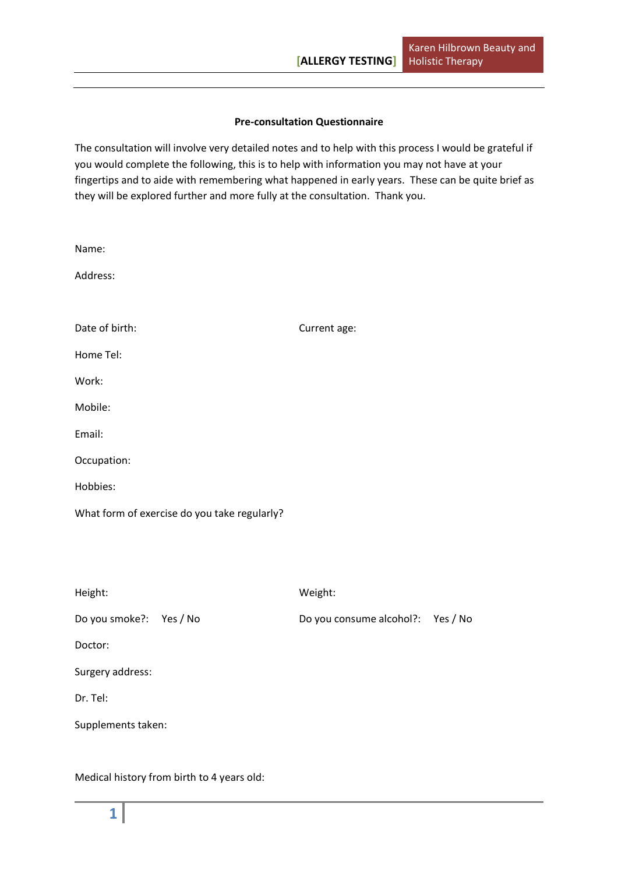### **Pre-consultation Questionnaire**

The consultation will involve very detailed notes and to help with this process I would be grateful if you would complete the following, this is to help with information you may not have at your fingertips and to aide with remembering what happened in early years. These can be quite brief as they will be explored further and more fully at the consultation. Thank you.

| Name:                                        |                          |          |
|----------------------------------------------|--------------------------|----------|
| Address:                                     |                          |          |
|                                              |                          |          |
| Date of birth:                               | Current age:             |          |
| Home Tel:                                    |                          |          |
| Work:                                        |                          |          |
| Mobile:                                      |                          |          |
| Email:                                       |                          |          |
| Occupation:                                  |                          |          |
| Hobbies:                                     |                          |          |
| What form of exercise do you take regularly? |                          |          |
|                                              |                          |          |
|                                              |                          |          |
| Height:                                      | Weight:                  |          |
| Do you smoke?: Yes / No                      | Do you consume alcohol?: | Yes / No |
| Doctor:                                      |                          |          |
| Surgery address:                             |                          |          |
| Dr. Tel:                                     |                          |          |
| Supplements taken:                           |                          |          |
|                                              |                          |          |

Medical history from birth to 4 years old: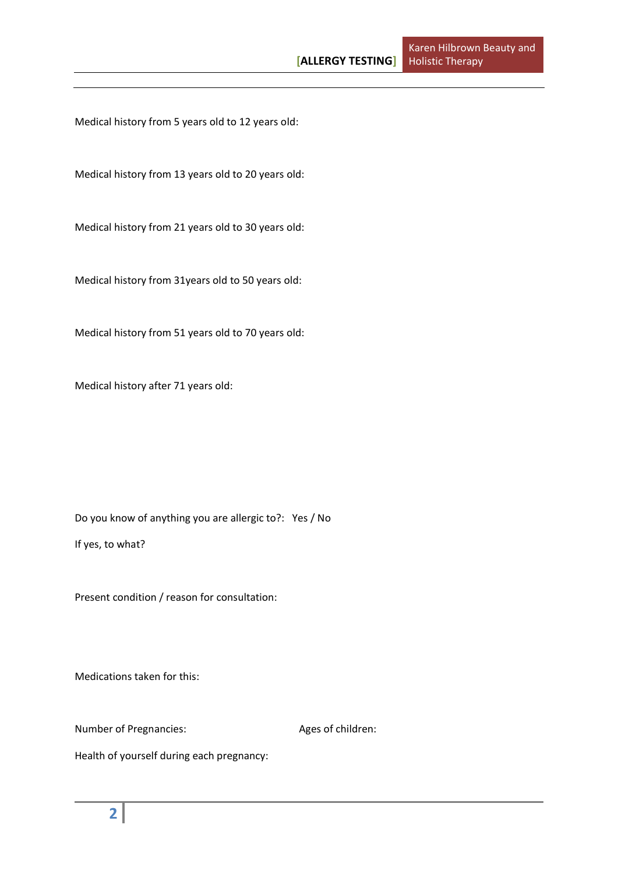Medical history from 5 years old to 12 years old:

Medical history from 13 years old to 20 years old:

Medical history from 21 years old to 30 years old:

Medical history from 31years old to 50 years old:

Medical history from 51 years old to 70 years old:

Medical history after 71 years old:

Do you know of anything you are allergic to?: Yes / No

If yes, to what?

Present condition / reason for consultation:

Medications taken for this:

Number of Pregnancies: Ages of children:

Health of yourself during each pregnancy: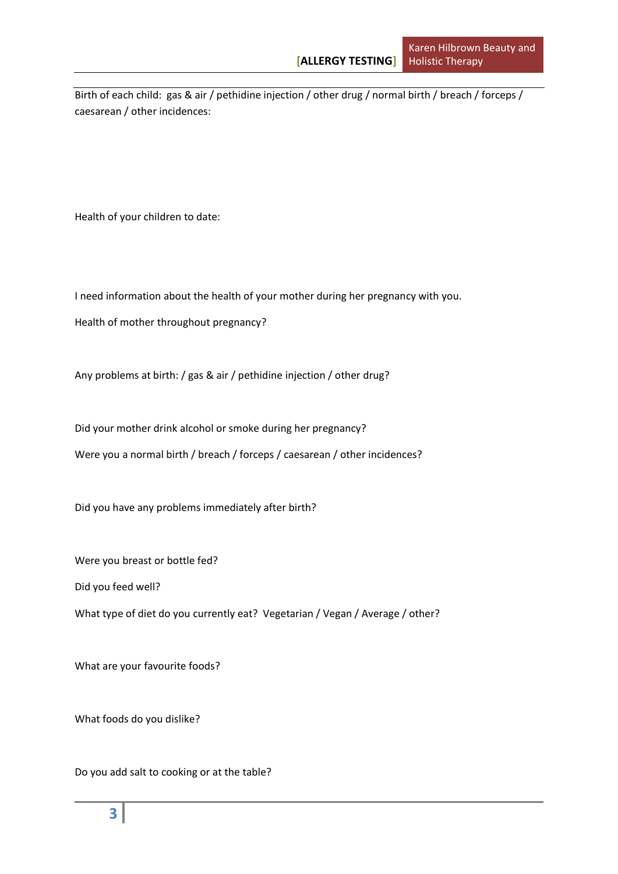Birth of each child: gas & air / pethidine injection / other drug / normal birth / breach / forceps / caesarean / other incidences:

Health of your children to date:

I need information about the health of your mother during her pregnancy with you.

Health of mother throughout pregnancy?

Any problems at birth: / gas & air / pethidine injection / other drug?

Did your mother drink alcohol or smoke during her pregnancy?

Were you a normal birth / breach / forceps / caesarean / other incidences?

Did you have any problems immediately after birth?

Were you breast or bottle fed?

Did you feed well?

What type of diet do you currently eat? Vegetarian / Vegan / Average / other?

What are your favourite foods?

What foods do you dislike?

Do you add salt to cooking or at the table?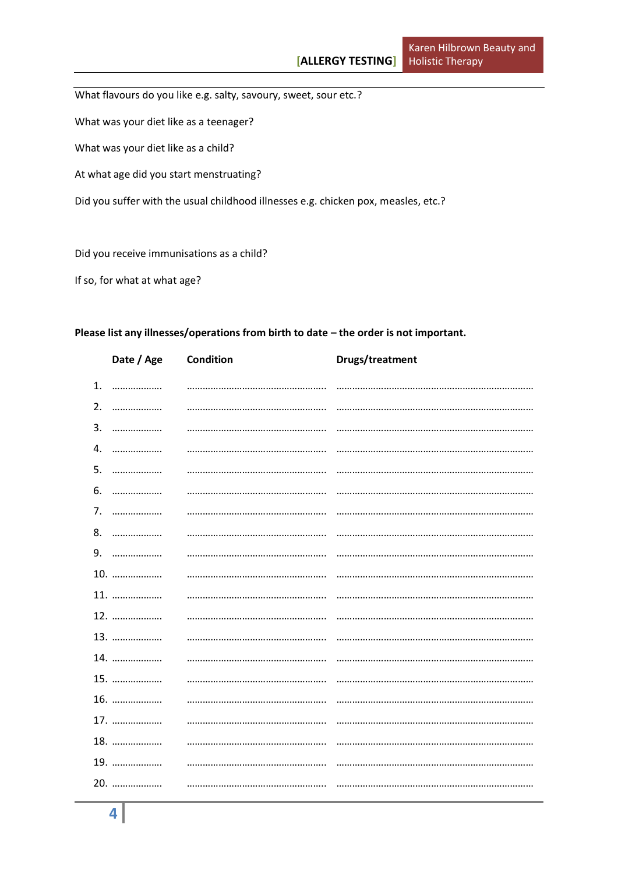What flavours do you like e.g. salty, savoury, sweet, sour etc.?

What was your diet like as a teenager?

What was your diet like as a child?

At what age did you start menstruating?

Did you suffer with the usual childhood illnesses e.g. chicken pox, measles, etc.?

Did you receive immunisations as a child?

If so, for what at what age?

#### Please list any illnesses/operations from birth to date - the order is not important.

|    | Date / Age | Condition | Drugs/treatment |
|----|------------|-----------|-----------------|
| 1. | .          |           |                 |
| 2. |            |           |                 |
| 3. | .          |           |                 |
| 4. | .          |           |                 |
| 5. | .          |           |                 |
| 6. |            |           |                 |
| 7. | .          |           |                 |
|    | 8.         |           |                 |
| 9. | .          |           |                 |
|    | 10.        |           |                 |
|    | 11.        |           |                 |
|    | 12.        |           |                 |
|    | 13.        |           |                 |
|    | 14.        |           |                 |
|    | 15.        |           |                 |
|    | 16.        |           |                 |
|    | 17.        |           |                 |
|    | 18.        |           |                 |
|    | 19.        |           |                 |
|    | 20.        |           |                 |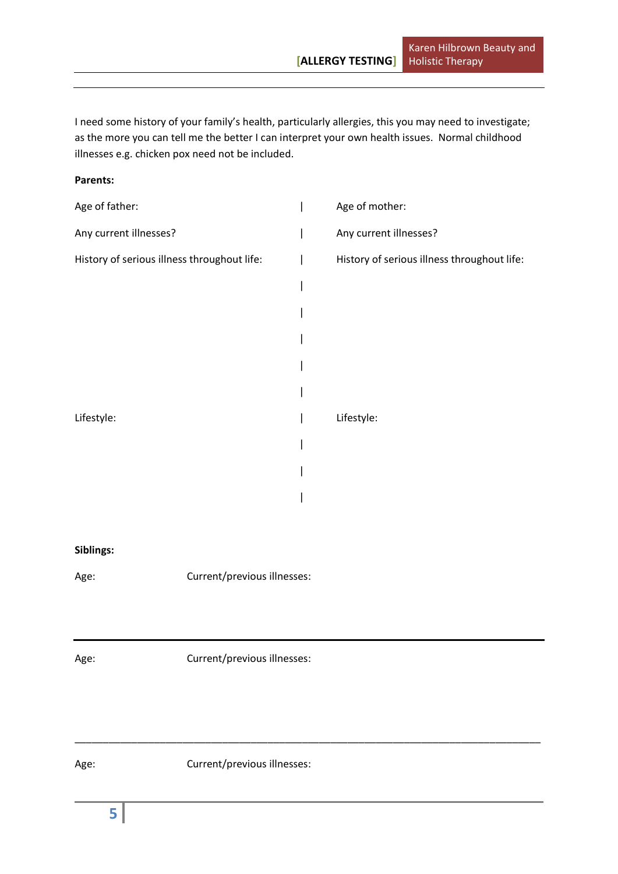I need some history of your family's health, particularly allergies, this you may need to investigate; as the more you can tell me the better I can interpret your own health issues. Normal childhood illnesses e.g. chicken pox need not be included.

#### **Parents:**

| Age of father:                              |                             | I | Age of mother:                              |
|---------------------------------------------|-----------------------------|---|---------------------------------------------|
| Any current illnesses?                      |                             |   | Any current illnesses?                      |
| History of serious illness throughout life: |                             |   | History of serious illness throughout life: |
|                                             |                             |   |                                             |
|                                             |                             |   |                                             |
|                                             |                             |   |                                             |
|                                             |                             |   |                                             |
|                                             |                             |   |                                             |
| Lifestyle:                                  |                             |   | Lifestyle:                                  |
|                                             |                             |   |                                             |
|                                             |                             |   |                                             |
|                                             |                             |   |                                             |
|                                             |                             |   |                                             |
| Siblings:                                   |                             |   |                                             |
| Age:                                        | Current/previous illnesses: |   |                                             |
|                                             |                             |   |                                             |
|                                             |                             |   |                                             |
| Age:                                        | Current/previous illnesses: |   |                                             |
|                                             |                             |   |                                             |
|                                             |                             |   |                                             |
|                                             |                             |   |                                             |

\_\_\_\_\_\_\_\_\_\_\_\_\_\_\_\_\_\_\_\_\_\_\_\_\_\_\_\_\_\_\_\_\_\_\_\_\_\_\_\_\_\_\_\_\_\_\_\_\_\_\_\_\_\_\_\_\_\_\_\_\_\_\_\_\_\_\_\_\_\_\_\_\_\_\_\_\_\_\_\_\_\_

Age: Current/previous illnesses: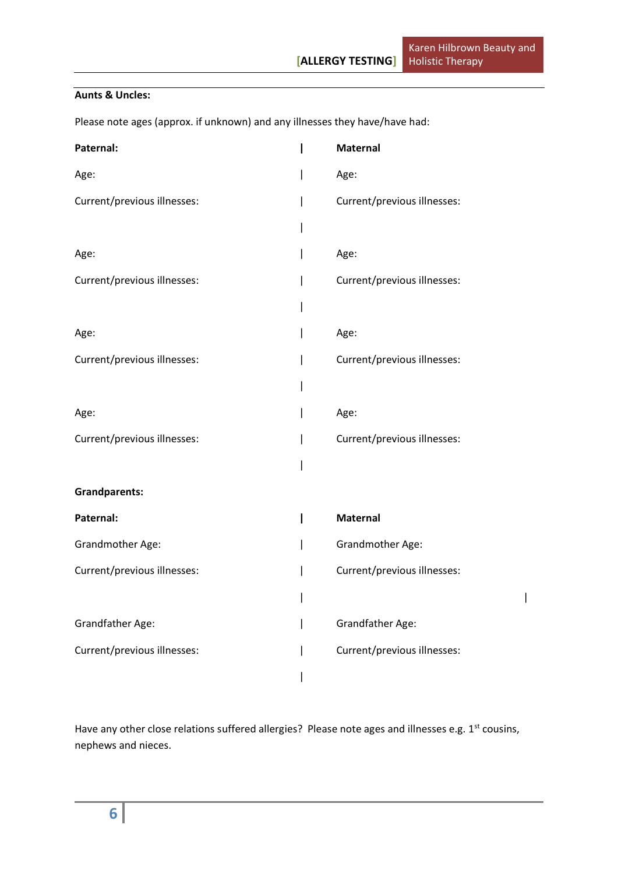# **Aunts & Uncles:**

Please note ages (approx. if unknown) and any illnesses they have/have had:

| Paternal:                   | <b>Maternal</b>             |
|-----------------------------|-----------------------------|
| Age:                        | Age:                        |
| Current/previous illnesses: | Current/previous illnesses: |
|                             |                             |
| Age:                        | Age:                        |
| Current/previous illnesses: | Current/previous illnesses: |
|                             |                             |
| Age:                        | Age:                        |
| Current/previous illnesses: | Current/previous illnesses: |
|                             |                             |
| Age:                        | Age:                        |
| Current/previous illnesses: | Current/previous illnesses: |
|                             |                             |
| <b>Grandparents:</b>        |                             |
| Paternal:                   | Maternal                    |
| Grandmother Age:            | Grandmother Age:            |
| Current/previous illnesses: | Current/previous illnesses: |
|                             |                             |
| Grandfather Age:            | <b>Grandfather Age:</b>     |
| Current/previous illnesses: | Current/previous illnesses: |
|                             |                             |

Have any other close relations suffered allergies? Please note ages and illnesses e.g. 1<sup>st</sup> cousins, nephews and nieces.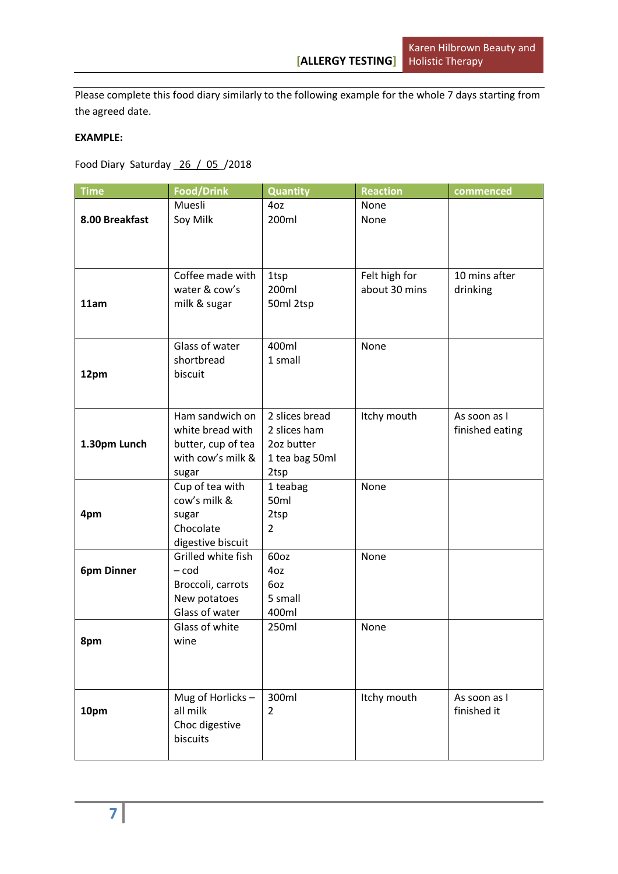Please complete this food diary similarly to the following example for the whole 7 days starting from the agreed date.

## **EXAMPLE:**

Food Diary Saturday \_26\_/\_05\_/2018

| <b>Time</b>       | <b>Food/Drink</b>                   | <b>Quantity</b>                | <b>Reaction</b>                | commenced       |
|-------------------|-------------------------------------|--------------------------------|--------------------------------|-----------------|
|                   | Muesli                              | 4oz                            | None                           |                 |
| 8.00 Breakfast    | Soy Milk                            | 200ml                          | None                           |                 |
|                   |                                     |                                |                                |                 |
|                   |                                     |                                |                                |                 |
|                   |                                     |                                |                                |                 |
|                   | Coffee made with<br>water & cow's   | 1tsp<br>200ml                  | Felt high for<br>about 30 mins | 10 mins after   |
| 11am              | milk & sugar                        | 50ml 2tsp                      |                                | drinking        |
|                   |                                     |                                |                                |                 |
|                   |                                     |                                |                                |                 |
|                   | Glass of water                      | 400ml                          | None                           |                 |
|                   | shortbread                          | 1 small                        |                                |                 |
| 12pm              | biscuit                             |                                |                                |                 |
|                   |                                     |                                |                                |                 |
|                   |                                     |                                |                                |                 |
|                   | Ham sandwich on<br>white bread with | 2 slices bread<br>2 slices ham | Itchy mouth                    | As soon as I    |
| 1.30pm Lunch      | butter, cup of tea                  | 2oz butter                     |                                | finished eating |
|                   | with cow's milk &                   | 1 tea bag 50ml                 |                                |                 |
|                   | sugar                               | 2tsp                           |                                |                 |
|                   | Cup of tea with                     | 1 teabag                       | None                           |                 |
|                   | cow's milk &                        | 50ml                           |                                |                 |
| 4pm               | sugar                               | 2tsp                           |                                |                 |
|                   | Chocolate                           | $\overline{2}$                 |                                |                 |
|                   | digestive biscuit                   |                                |                                |                 |
|                   | Grilled white fish                  | 60oz                           | None                           |                 |
| <b>6pm Dinner</b> | $-cod$                              | 4oz<br>6oz                     |                                |                 |
|                   | Broccoli, carrots<br>New potatoes   | 5 small                        |                                |                 |
|                   | Glass of water                      | 400ml                          |                                |                 |
|                   | Glass of white                      | 250ml                          | None                           |                 |
| 8pm               | wine                                |                                |                                |                 |
|                   |                                     |                                |                                |                 |
|                   |                                     |                                |                                |                 |
|                   |                                     |                                |                                |                 |
|                   | Mug of Horlicks-                    | 300ml                          | Itchy mouth                    | As soon as I    |
| 10pm              | all milk                            | $\overline{2}$                 |                                | finished it     |
|                   | Choc digestive<br>biscuits          |                                |                                |                 |
|                   |                                     |                                |                                |                 |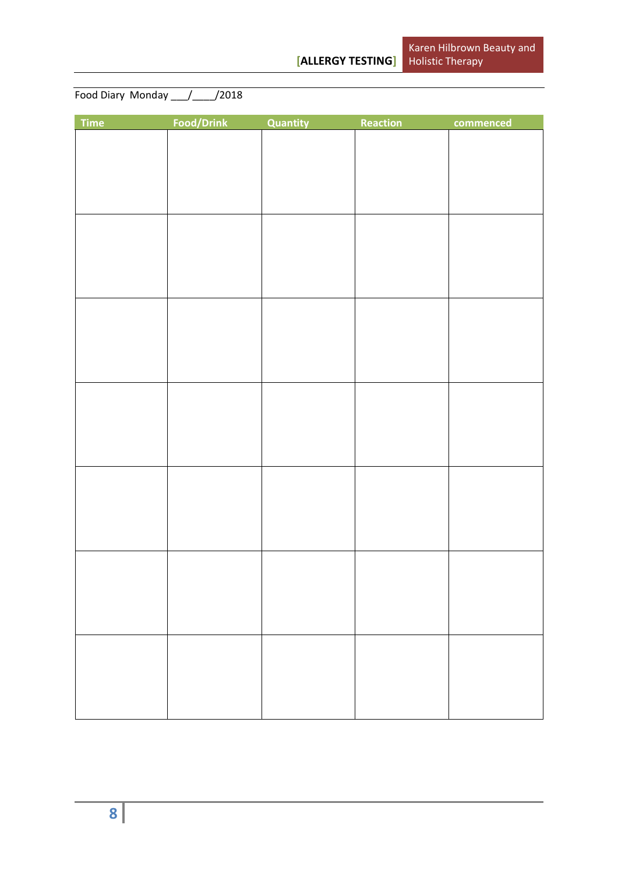Food Diary Monday \_\_\_/\_\_\_\_/2018

| Time | Food/Drink | Quantity | Reaction | commenced |
|------|------------|----------|----------|-----------|
|      |            |          |          |           |
|      |            |          |          |           |
|      |            |          |          |           |
|      |            |          |          |           |
|      |            |          |          |           |
|      |            |          |          |           |
|      |            |          |          |           |
|      |            |          |          |           |
|      |            |          |          |           |
|      |            |          |          |           |
|      |            |          |          |           |
|      |            |          |          |           |
|      |            |          |          |           |
|      |            |          |          |           |
|      |            |          |          |           |
|      |            |          |          |           |
|      |            |          |          |           |
|      |            |          |          |           |
|      |            |          |          |           |
|      |            |          |          |           |
|      |            |          |          |           |
|      |            |          |          |           |
|      |            |          |          |           |
|      |            |          |          |           |
|      |            |          |          |           |
|      |            |          |          |           |
|      |            |          |          |           |
|      |            |          |          |           |
|      |            |          |          |           |
|      |            |          |          |           |
|      |            |          |          |           |
|      |            |          |          |           |
|      |            |          |          |           |
|      |            |          |          |           |
|      |            |          |          |           |
|      |            |          |          |           |
|      |            |          |          |           |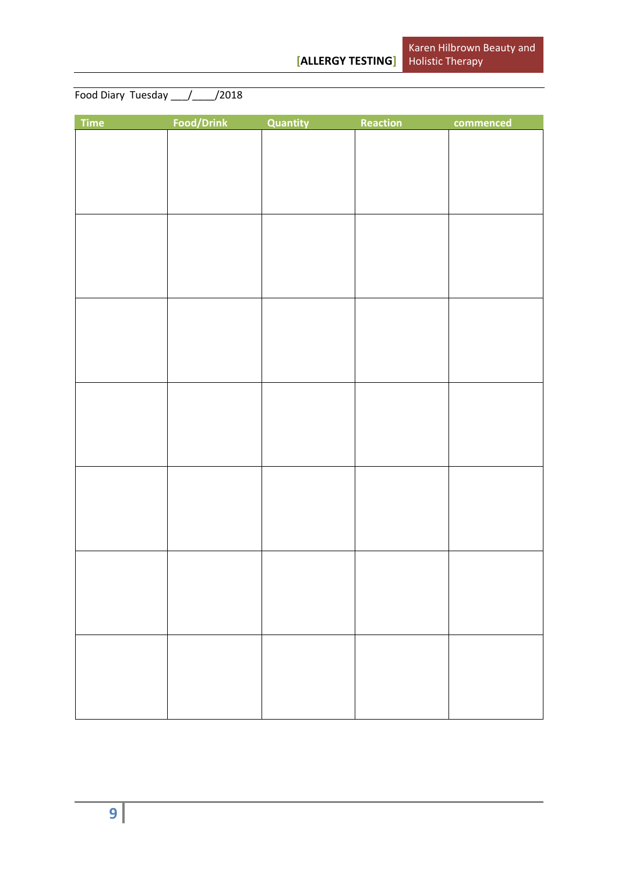Food Diary Tuesday \_\_\_/\_\_\_\_/2018

| Time | Food/Drink | Quantity | Reaction | commenced |
|------|------------|----------|----------|-----------|
|      |            |          |          |           |
|      |            |          |          |           |
|      |            |          |          |           |
|      |            |          |          |           |
|      |            |          |          |           |
|      |            |          |          |           |
|      |            |          |          |           |
|      |            |          |          |           |
|      |            |          |          |           |
|      |            |          |          |           |
|      |            |          |          |           |
|      |            |          |          |           |
|      |            |          |          |           |
|      |            |          |          |           |
|      |            |          |          |           |
|      |            |          |          |           |
|      |            |          |          |           |
|      |            |          |          |           |
|      |            |          |          |           |
|      |            |          |          |           |
|      |            |          |          |           |
|      |            |          |          |           |
|      |            |          |          |           |
|      |            |          |          |           |
|      |            |          |          |           |
|      |            |          |          |           |
|      |            |          |          |           |
|      |            |          |          |           |
|      |            |          |          |           |
|      |            |          |          |           |
|      |            |          |          |           |
|      |            |          |          |           |
|      |            |          |          |           |
|      |            |          |          |           |
|      |            |          |          |           |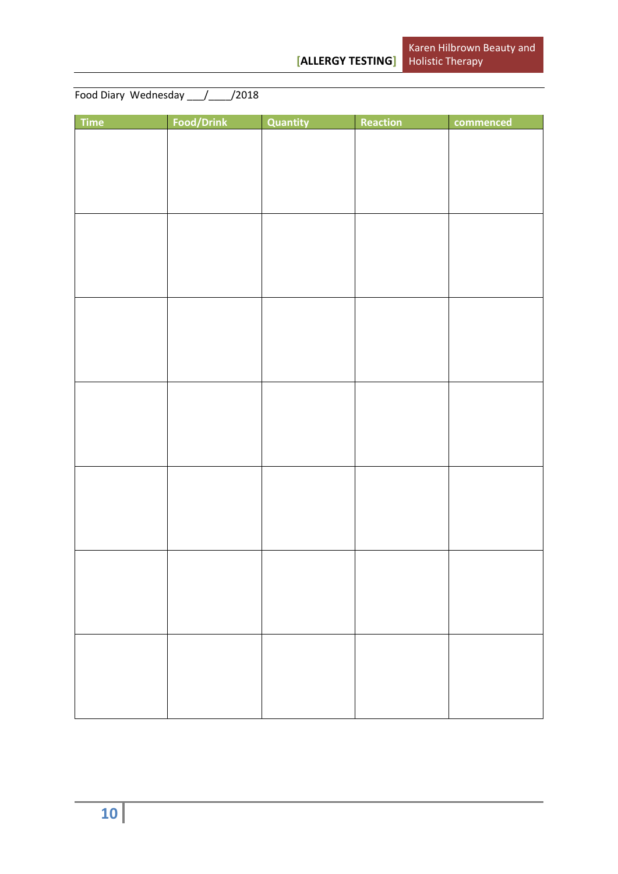| Food Diary Wednesday / / /2018 |  |
|--------------------------------|--|

| <b>Time</b> | Food/Drink | Quantity | Reaction | commenced |
|-------------|------------|----------|----------|-----------|
|             |            |          |          |           |
|             |            |          |          |           |
|             |            |          |          |           |
|             |            |          |          |           |
|             |            |          |          |           |
|             |            |          |          |           |
|             |            |          |          |           |
|             |            |          |          |           |
|             |            |          |          |           |
|             |            |          |          |           |
|             |            |          |          |           |
|             |            |          |          |           |
|             |            |          |          |           |
|             |            |          |          |           |
|             |            |          |          |           |
|             |            |          |          |           |
|             |            |          |          |           |
|             |            |          |          |           |
|             |            |          |          |           |
|             |            |          |          |           |
|             |            |          |          |           |
|             |            |          |          |           |
|             |            |          |          |           |
|             |            |          |          |           |
|             |            |          |          |           |
|             |            |          |          |           |
|             |            |          |          |           |
|             |            |          |          |           |
|             |            |          |          |           |
|             |            |          |          |           |
|             |            |          |          |           |
|             |            |          |          |           |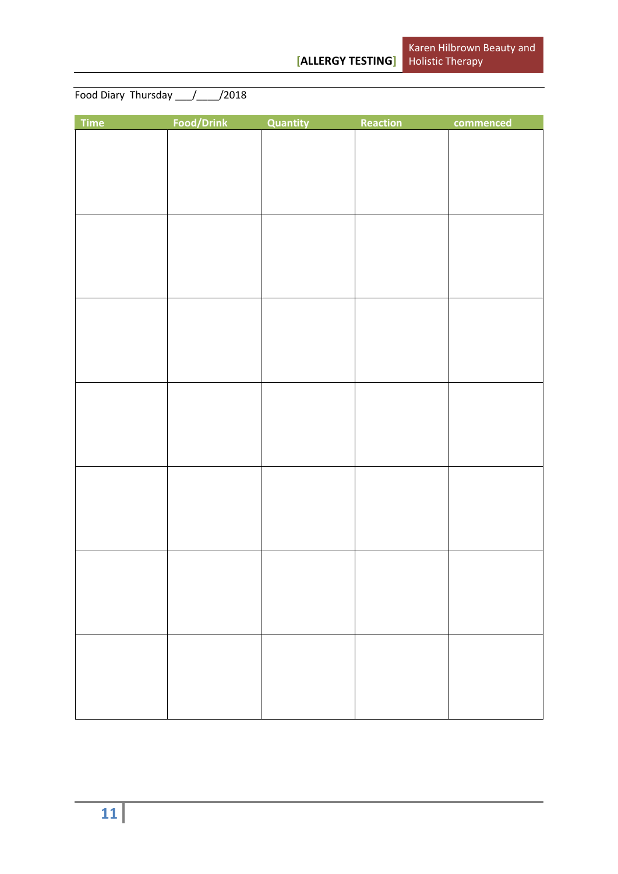Food Diary Thursday \_\_\_/\_\_\_\_/2018

| Time | Food/Drink | Quantity | Reaction | commenced |
|------|------------|----------|----------|-----------|
|      |            |          |          |           |
|      |            |          |          |           |
|      |            |          |          |           |
|      |            |          |          |           |
|      |            |          |          |           |
|      |            |          |          |           |
|      |            |          |          |           |
|      |            |          |          |           |
|      |            |          |          |           |
|      |            |          |          |           |
|      |            |          |          |           |
|      |            |          |          |           |
|      |            |          |          |           |
|      |            |          |          |           |
|      |            |          |          |           |
|      |            |          |          |           |
|      |            |          |          |           |
|      |            |          |          |           |
|      |            |          |          |           |
|      |            |          |          |           |
|      |            |          |          |           |
|      |            |          |          |           |
|      |            |          |          |           |
|      |            |          |          |           |
|      |            |          |          |           |
|      |            |          |          |           |
|      |            |          |          |           |
|      |            |          |          |           |
|      |            |          |          |           |
|      |            |          |          |           |
|      |            |          |          |           |
|      |            |          |          |           |
|      |            |          |          |           |
|      |            |          |          |           |
|      |            |          |          |           |
|      |            |          |          |           |
|      |            |          |          |           |
|      |            |          |          |           |
|      |            |          |          |           |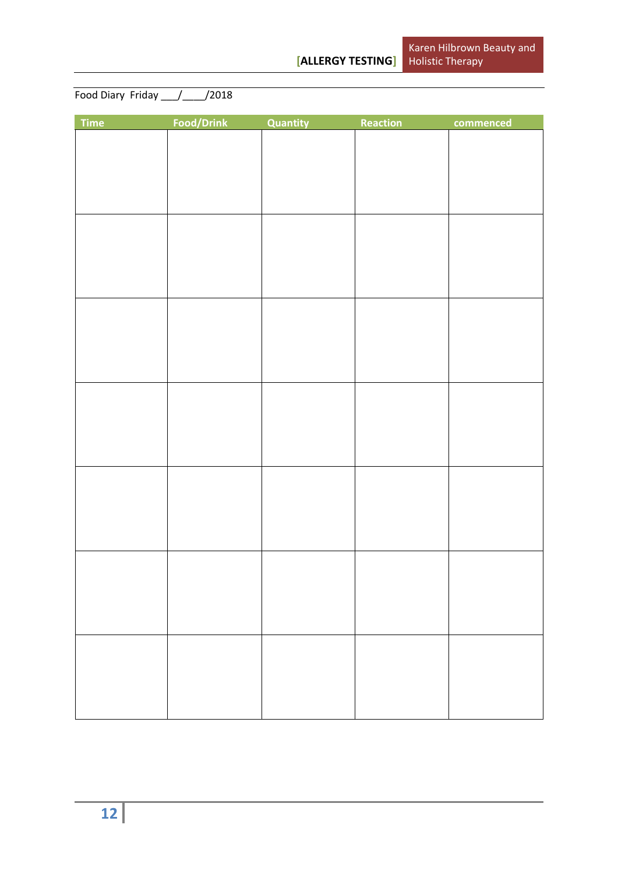Food Diary Friday \_\_\_/\_\_\_\_/2018

| Time | Food/Drink | Quantity | Reaction | commenced |
|------|------------|----------|----------|-----------|
|      |            |          |          |           |
|      |            |          |          |           |
|      |            |          |          |           |
|      |            |          |          |           |
|      |            |          |          |           |
|      |            |          |          |           |
|      |            |          |          |           |
|      |            |          |          |           |
|      |            |          |          |           |
|      |            |          |          |           |
|      |            |          |          |           |
|      |            |          |          |           |
|      |            |          |          |           |
|      |            |          |          |           |
|      |            |          |          |           |
|      |            |          |          |           |
|      |            |          |          |           |
|      |            |          |          |           |
|      |            |          |          |           |
|      |            |          |          |           |
|      |            |          |          |           |
|      |            |          |          |           |
|      |            |          |          |           |
|      |            |          |          |           |
|      |            |          |          |           |
|      |            |          |          |           |
|      |            |          |          |           |
|      |            |          |          |           |
|      |            |          |          |           |
|      |            |          |          |           |
|      |            |          |          |           |
|      |            |          |          |           |
|      |            |          |          |           |
|      |            |          |          |           |
|      |            |          |          |           |
|      |            |          |          |           |
|      |            |          |          |           |
|      |            |          |          |           |
|      |            |          |          |           |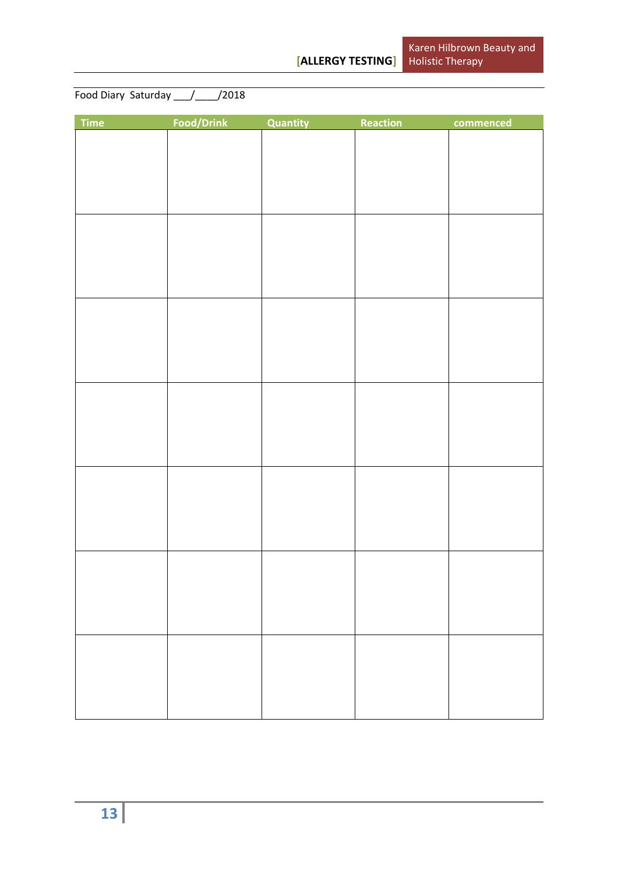Food Diary Saturday \_\_\_/\_\_\_\_/2018

| Time | Food/Drink | Quantity | Reaction | commenced |
|------|------------|----------|----------|-----------|
|      |            |          |          |           |
|      |            |          |          |           |
|      |            |          |          |           |
|      |            |          |          |           |
|      |            |          |          |           |
|      |            |          |          |           |
|      |            |          |          |           |
|      |            |          |          |           |
|      |            |          |          |           |
|      |            |          |          |           |
|      |            |          |          |           |
|      |            |          |          |           |
|      |            |          |          |           |
|      |            |          |          |           |
|      |            |          |          |           |
|      |            |          |          |           |
|      |            |          |          |           |
|      |            |          |          |           |
|      |            |          |          |           |
|      |            |          |          |           |
|      |            |          |          |           |
|      |            |          |          |           |
|      |            |          |          |           |
|      |            |          |          |           |
|      |            |          |          |           |
|      |            |          |          |           |
|      |            |          |          |           |
|      |            |          |          |           |
|      |            |          |          |           |
|      |            |          |          |           |
|      |            |          |          |           |
|      |            |          |          |           |